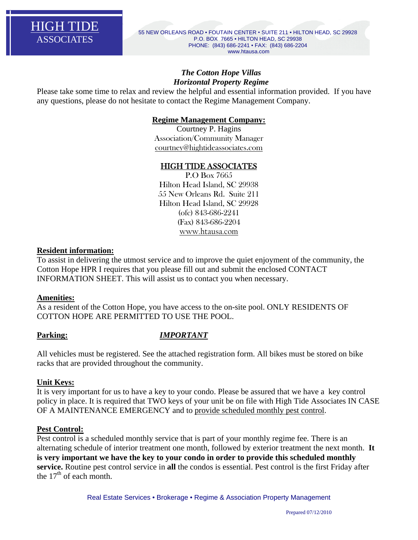

# *The Cotton Hope Villas Horizontal Property Regime*

Please take some time to relax and review the helpful and essential information provided. If you have any questions, please do not hesitate to contact the Regime Management Company.

# **Regime Management Company:**

Courtney P. Hagins Association/Community Manager courtney@hightideassociates.com

# HIGH TIDE ASSOCIATES

P.O Box 7665 Hilton Head Island, SC 29938 55 New Orleans Rd. Suite 211 Hilton Head Island, SC 29928 (ofc) 843-686-2241 (Fax) 843-686-2204 www.htausa.com

#### **Resident information:**

To assist in delivering the utmost service and to improve the quiet enjoyment of the community, the Cotton Hope HPR I requires that you please fill out and submit the enclosed CONTACT INFORMATION SHEET. This will assist us to contact you when necessary.

### **Amenities:**

As a resident of the Cotton Hope, you have access to the on-site pool. ONLY RESIDENTS OF COTTON HOPE ARE PERMITTED TO USE THE POOL.

# **Parking:** *IMPORTANT*

All vehicles must be registered. See the attached registration form. All bikes must be stored on bike racks that are provided throughout the community.

### **Unit Keys:**

It is very important for us to have a key to your condo. Please be assured that we have a key control policy in place. It is required that TWO keys of your unit be on file with High Tide Associates IN CASE OF A MAINTENANCE EMERGENCY and to provide scheduled monthly pest control.

### **Pest Control:**

Pest control is a scheduled monthly service that is part of your monthly regime fee. There is an alternating schedule of interior treatment one month, followed by exterior treatment the next month. **It is very important we have the key to your condo in order to provide this scheduled monthly service.** Routine pest control service in **all** the condos is essential. Pest control is the first Friday after the  $17<sup>th</sup>$  of each month.